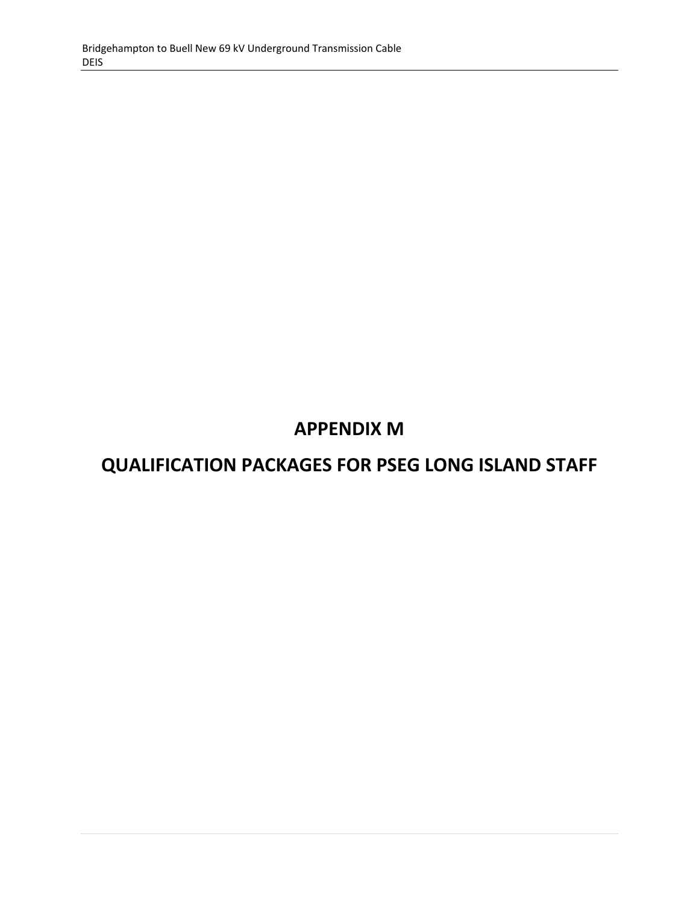# **APPENDIX M**

# **QUALIFICATION PACKAGES FOR PSEG LONG ISLAND STAFF**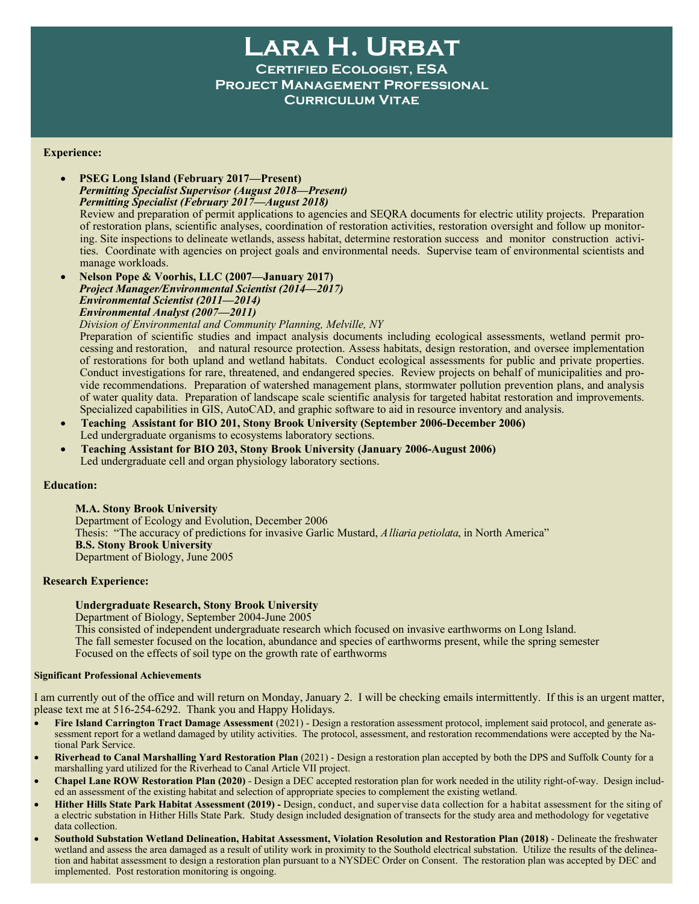## **Lara H. Urbat Certified Ecologist, ESA Project Management Professional Curriculum Vitae**

#### **Experience:**

- **PSEG Long Island (February 2017—Present)** *Permitting Specialist Supervisor (August 2018—Present) Permitting Specialist (February 2017—August 2018)* Review and preparation of permit applications to agencies and SEQRA documents for electric utility projects. Preparation of restoration plans, scientific analyses, coordination of restoration activities, restoration oversight and follow up monitoring. Site inspections to delineate wetlands, assess habitat, determine restoration success and monitor construction activities. Coordinate with agencies on project goals and environmental needs. Supervise team of environmental scientists and manage workloads.
- **Nelson Pope & Voorhis, LLC (2007—January 2017)** *Project Manager/Environmental Scientist (2014—2017) Environmental Scientist (2011—2014) Environmental Analyst (2007—2011)*

*Division of Environmental and Community Planning, Melville, NY* Preparation of scientific studies and impact analysis documents including ecological assessments, wetland permit processing and restoration, and natural resource protection. Assess habitats, design restoration, and oversee implementation of restorations for both upland and wetland habitats. Conduct ecological assessments for public and private properties. Conduct investigations for rare, threatened, and endangered species. Review projects on behalf of municipalities and provide recommendations. Preparation of watershed management plans, stormwater pollution prevention plans, and analysis of water quality data. Preparation of landscape scale scientific analysis for targeted habitat restoration and improvements. Specialized capabilities in GIS, AutoCAD, and graphic software to aid in resource inventory and analysis.

- **Teaching Assistant for BIO 201, Stony Brook University (September 2006-December 2006)** Led undergraduate organisms to ecosystems laboratory sections.
- **Teaching Assistant for BIO 203, Stony Brook University (January 2006-August 2006)** Led undergraduate cell and organ physiology laboratory sections.

#### **Education:**

#### **M.A. Stony Brook University**

Department of Ecology and Evolution, December 2006 Thesis: "The accuracy of predictions for invasive Garlic Mustard, *Alliaria petiolata*, in North America" **B.S. Stony Brook University** Department of Biology, June 2005

#### **Research Experience:**

#### **Undergraduate Research, Stony Brook University**

Department of Biology, September 2004-June 2005 This consisted of independent undergraduate research which focused on invasive earthworms on Long Island. The fall semester focused on the location, abundance and species of earthworms present, while the spring semester Focused on the effects of soil type on the growth rate of earthworms

#### **Significant Professional Achievements**

I am currently out of the office and will return on Monday, January 2. I will be checking emails intermittently. If this is an urgent matter, please text me at 516-254-6292. Thank you and Happy Holidays.

- **Fire Island Carrington Tract Damage Assessment** (2021) Design a restoration assessment protocol, implement said protocol, and generate assessment report for a wetland damaged by utility activities. The protocol, assessment, and restoration recommendations were accepted by the National Park Service.
- **Riverhead to Canal Marshalling Yard Restoration Plan** (2021) Design a restoration plan accepted by both the DPS and Suffolk County for a marshalling yard utilized for the Riverhead to Canal Article VII project.
- **Chapel Lane ROW Restoration Plan (2020)**  Design a DEC accepted restoration plan for work needed in the utility right-of-way. Design included an assessment of the existing habitat and selection of appropriate species to complement the existing wetland.
- **Hither Hills State Park Habitat Assessment (2019) -** Design, conduct, and supervise data collection for a habitat assessment for the siting of a electric substation in Hither Hills State Park. Study design included designation of transects for the study area and methodology for vegetative data collection.
- **Southold Substation Wetland Delineation, Habitat Assessment, Violation Resolution and Restoration Plan (2018)**  Delineate the freshwater wetland and assess the area damaged as a result of utility work in proximity to the Southold electrical substation. Utilize the results of the delineation and habitat assessment to design a restoration plan pursuant to a NYSDEC Order on Consent. The restoration plan was accepted by DEC and implemented. Post restoration monitoring is ongoing.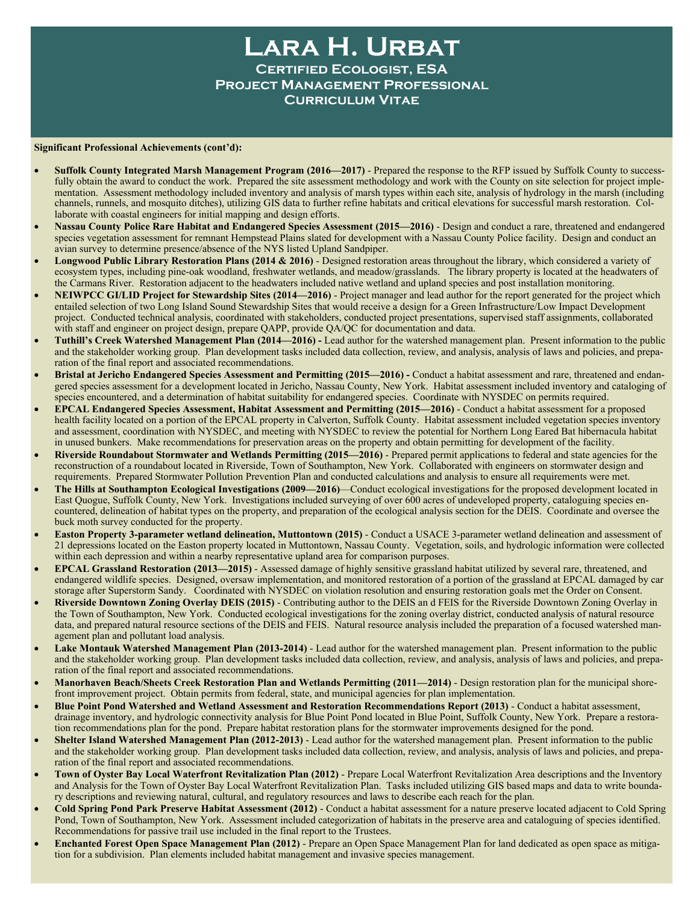**Lara H. Urbat Certified Ecologist, ESA Project Management Professional Curriculum Vitae**

#### **Significant Professional Achievements (cont'd):**

- **Suffolk County Integrated Marsh Management Program (2016—2017)** Prepared the response to the RFP issued by Suffolk County to successfully obtain the award to conduct the work. Prepared the site assessment methodology and work with the County on site selection for project implementation. Assessment methodology included inventory and analysis of marsh types within each site, analysis of hydrology in the marsh (including channels, runnels, and mosquito ditches), utilizing GIS data to further refine habitats and critical elevations for successful marsh restoration. Collaborate with coastal engineers for initial mapping and design efforts.
- **Nassau County Police Rare Habitat and Endangered Species Assessment (2015—2016)** Design and conduct a rare, threatened and endangered species vegetation assessment for remnant Hempstead Plains slated for development with a Nassau County Police facility. Design and conduct an avian survey to determine presence/absence of the NYS listed Upland Sandpiper.
- **Longwood Public Library Restoration Plans (2014 & 2016)**  Designed restoration areas throughout the library, which considered a variety of ecosystem types, including pine-oak woodland, freshwater wetlands, and meadow/grasslands. The library property is located at the headwaters of the Carmans River. Restoration adjacent to the headwaters included native wetland and upland species and post installation monitoring.
- **NEIWPCC GI/LID Project for Stewardship Sites (2014—2016)**  Project manager and lead author for the report generated for the project which entailed selection of two Long Island Sound Stewardship Sites that would receive a design for a Green Infrastructure/Low Impact Development project. Conducted technical analysis, coordinated with stakeholders, conducted project presentations, supervised staff assignments, collaborated with staff and engineer on project design, prepare QAPP, provide QA/QC for documentation and data.
- **Tuthill's Creek Watershed Management Plan (2014—2016) -** Lead author for the watershed management plan. Present information to the public and the stakeholder working group. Plan development tasks included data collection, review, and analysis, analysis of laws and policies, and preparation of the final report and associated recommendations.
- **Bristal at Jericho Endangered Species Assessment and Permitting (2015—2016) -** Conduct a habitat assessment and rare, threatened and endangered species assessment for a development located in Jericho, Nassau County, New York. Habitat assessment included inventory and cataloging of species encountered, and a determination of habitat suitability for endangered species. Coordinate with NYSDEC on permits required.
- **EPCAL Endangered Species Assessment, Habitat Assessment and Permitting (2015—2016)**  Conduct a habitat assessment for a proposed health facility located on a portion of the EPCAL property in Calverton, Suffolk County. Habitat assessment included vegetation species inventory and assessment, coordination with NYSDEC, and meeting with NYSDEC to review the potential for Northern Long Eared Bat hibernacula habitat in unused bunkers. Make recommendations for preservation areas on the property and obtain permitting for development of the facility.
- **Riverside Roundabout Stormwater and Wetlands Permitting (2015—2016)** Prepared permit applications to federal and state agencies for the reconstruction of a roundabout located in Riverside, Town of Southampton, New York. Collaborated with engineers on stormwater design and requirements. Prepared Stormwater Pollution Prevention Plan and conducted calculations and analysis to ensure all requirements were met.
- **The Hills at Southampton Ecological Investigations (2009—2016)**—Conduct ecological investigations for the proposed development located in East Quogue, Suffolk County, New York. Investigations included surveying of over 600 acres of undeveloped property, cataloguing species encountered, delineation of habitat types on the property, and preparation of the ecological analysis section for the DEIS. Coordinate and oversee the buck moth survey conducted for the property.
- **Easton Property 3-parameter wetland delineation, Muttontown (2015)** Conduct a USACE 3-parameter wetland delineation and assessment of 21 depressions located on the Easton property located in Muttontown, Nassau County. Vegetation, soils, and hydrologic information were collected within each depression and within a nearby representative upland area for comparison purposes.
- **EPCAL Grassland Restoration (2013—2015)**  Assessed damage of highly sensitive grassland habitat utilized by several rare, threatened, and endangered wildlife species. Designed, oversaw implementation, and monitored restoration of a portion of the grassland at EPCAL damaged by car storage after Superstorm Sandy. Coordinated with NYSDEC on violation resolution and ensuring restoration goals met the Order on Consent.
- **Riverside Downtown Zoning Overlay DEIS (2015)** Contributing author to the DEIS an d FEIS for the Riverside Downtown Zoning Overlay in the Town of Southampton, New York. Conducted ecological investigations for the zoning overlay district, conducted analysis of natural resource data, and prepared natural resource sections of the DEIS and FEIS. Natural resource analysis included the preparation of a focused watershed management plan and pollutant load analysis.
- **Lake Montauk Watershed Management Plan (2013-2014)**  Lead author for the watershed management plan. Present information to the public and the stakeholder working group. Plan development tasks included data collection, review, and analysis, analysis of laws and policies, and preparation of the final report and associated recommendations.
- **Manorhaven Beach/Sheets Creek Restoration Plan and Wetlands Permitting (2011—2014)** Design restoration plan for the municipal shorefront improvement project. Obtain permits from federal, state, and municipal agencies for plan implementation.
- **Blue Point Pond Watershed and Wetland Assessment and Restoration Recommendations Report (2013)**  Conduct a habitat assessment, drainage inventory, and hydrologic connectivity analysis for Blue Point Pond located in Blue Point, Suffolk County, New York. Prepare a restoration recommendations plan for the pond. Prepare habitat restoration plans for the stormwater improvements designed for the pond.
- **Shelter Island Watershed Management Plan (2012-2013)**  Lead author for the watershed management plan. Present information to the public and the stakeholder working group. Plan development tasks included data collection, review, and analysis, analysis of laws and policies, and preparation of the final report and associated recommendations.
- **Town of Oyster Bay Local Waterfront Revitalization Plan (2012)**  Prepare Local Waterfront Revitalization Area descriptions and the Inventory and Analysis for the Town of Oyster Bay Local Waterfront Revitalization Plan. Tasks included utilizing GIS based maps and data to write boundary descriptions and reviewing natural, cultural, and regulatory resources and laws to describe each reach for the plan.
- **Cold Spring Pond Park Preserve Habitat Assessment (2012)** Conduct a habitat assessment for a nature preserve located adjacent to Cold Spring Pond, Town of Southampton, New York. Assessment included categorization of habitats in the preserve area and cataloguing of species identified. Recommendations for passive trail use included in the final report to the Trustees.
- **Enchanted Forest Open Space Management Plan (2012)**  Prepare an Open Space Management Plan for land dedicated as open space as mitigation for a subdivision. Plan elements included habitat management and invasive species management.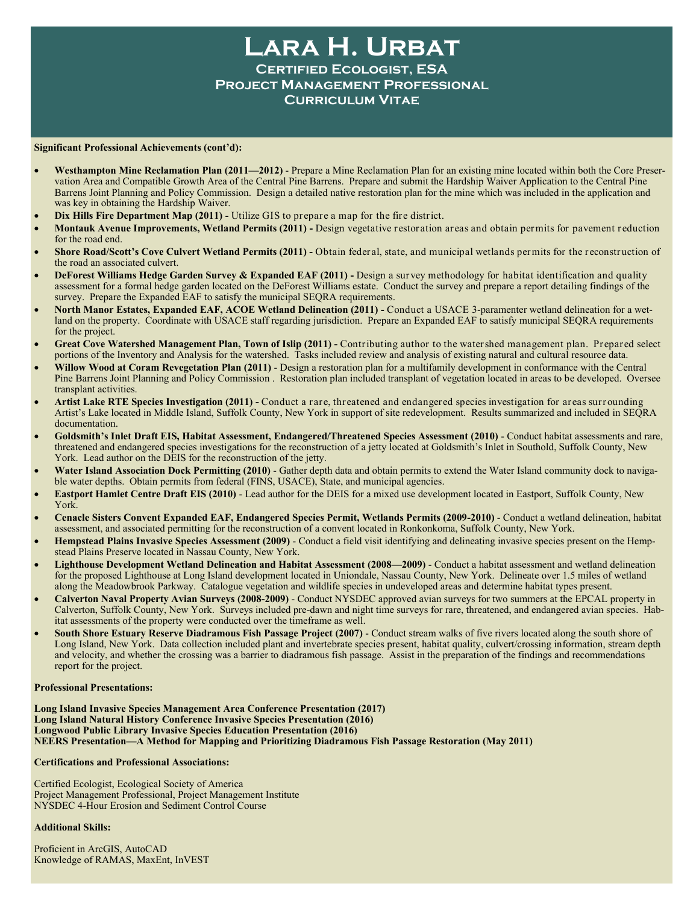## **Lara H. Urbat Certified Ecologist, ESA Project Management Professional Curriculum Vitae**

#### **Significant Professional Achievements (cont'd):**

- **Westhampton Mine Reclamation Plan (2011—2012)** Prepare a Mine Reclamation Plan for an existing mine located within both the Core Preservation Area and Compatible Growth Area of the Central Pine Barrens. Prepare and submit the Hardship Waiver Application to the Central Pine Barrens Joint Planning and Policy Commission. Design a detailed native restoration plan for the mine which was included in the application and was key in obtaining the Hardship Waiver.
- **Dix Hills Fire Department Map (2011) -** Utilize GIS to prepare a map for the fire district.
- **Montauk Avenue Improvements, Wetland Permits (2011) -** Design vegetative restoration areas and obtain permits for pavement reduction for the road end.
- **Shore Road/Scott's Cove Culvert Wetland Permits (2011) -** Obtain federal, state, and municipal wetlands permits for the reconstruction of the road an associated culvert.
- **DeForest Williams Hedge Garden Survey & Expanded EAF (2011) -** Design a survey methodology for habitat identification and quality assessment for a formal hedge garden located on the DeForest Williams estate. Conduct the survey and prepare a report detailing findings of the survey. Prepare the Expanded EAF to satisfy the municipal SEQRA requirements.
- **North Manor Estates, Expanded EAF, ACOE Wetland Delineation (2011) -** Conduct a USACE 3-paramenter wetland delineation for a wetland on the property. Coordinate with USACE staff regarding jurisdiction. Prepare an Expanded EAF to satisfy municipal SEQRA requirements for the project.
- **Great Cove Watershed Management Plan, Town of Islip (2011) -** Contributing author to the watershed management plan. Prepared select portions of the Inventory and Analysis for the watershed. Tasks included review and analysis of existing natural and cultural resource data.
- **Willow Wood at Coram Revegetation Plan (2011)**  Design a restoration plan for a multifamily development in conformance with the Central Pine Barrens Joint Planning and Policy Commission . Restoration plan included transplant of vegetation located in areas to be developed. Oversee transplant activities.
- **Artist Lake RTE Species Investigation (2011) -** Conduct a rare, threatened and endangered species investigation for areas surrounding Artist's Lake located in Middle Island, Suffolk County, New York in support of site redevelopment. Results summarized and included in SEQRA documentation.
- **Goldsmith's Inlet Draft EIS, Habitat Assessment, Endangered/Threatened Species Assessment (2010)**  Conduct habitat assessments and rare, threatened and endangered species investigations for the reconstruction of a jetty located at Goldsmith's Inlet in Southold, Suffolk County, New York. Lead author on the DEIS for the reconstruction of the jetty.
- **Water Island Association Dock Permitting (2010)** Gather depth data and obtain permits to extend the Water Island community dock to navigable water depths. Obtain permits from federal (FINS, USACE), State, and municipal agencies.
- **Eastport Hamlet Centre Draft EIS (2010)** Lead author for the DEIS for a mixed use development located in Eastport, Suffolk County, New York.
- **Cenacle Sisters Convent Expanded EAF, Endangered Species Permit, Wetlands Permits (2009-2010)** Conduct a wetland delineation, habitat assessment, and associated permitting for the reconstruction of a convent located in Ronkonkoma, Suffolk County, New York.
- **Hempstead Plains Invasive Species Assessment (2009)**  Conduct a field visit identifying and delineating invasive species present on the Hempstead Plains Preserve located in Nassau County, New York.
- **Lighthouse Development Wetland Delineation and Habitat Assessment (2008—2009)**  Conduct a habitat assessment and wetland delineation for the proposed Lighthouse at Long Island development located in Uniondale, Nassau County, New York. Delineate over 1.5 miles of wetland along the Meadowbrook Parkway. Catalogue vegetation and wildlife species in undeveloped areas and determine habitat types present.
- **Calverton Naval Property Avian Surveys (2008-2009)** Conduct NYSDEC approved avian surveys for two summers at the EPCAL property in Calverton, Suffolk County, New York. Surveys included pre-dawn and night time surveys for rare, threatened, and endangered avian species. Habitat assessments of the property were conducted over the timeframe as well.
- **South Shore Estuary Reserve Diadramous Fish Passage Project (2007)**  Conduct stream walks of five rivers located along the south shore of Long Island, New York. Data collection included plant and invertebrate species present, habitat quality, culvert/crossing information, stream depth and velocity, and whether the crossing was a barrier to diadramous fish passage. Assist in the preparation of the findings and recommendations report for the project.

#### **Professional Presentations:**

**Long Island Invasive Species Management Area Conference Presentation (2017) Long Island Natural History Conference Invasive Species Presentation (2016) Longwood Public Library Invasive Species Education Presentation (2016) NEERS Presentation—A Method for Mapping and Prioritizing Diadramous Fish Passage Restoration (May 2011)**

#### **Certifications and Professional Associations:**

Certified Ecologist, Ecological Society of America Project Management Professional, Project Management Institute NYSDEC 4-Hour Erosion and Sediment Control Course

#### **Additional Skills:**

Proficient in ArcGIS, AutoCAD Knowledge of RAMAS, MaxEnt, InVEST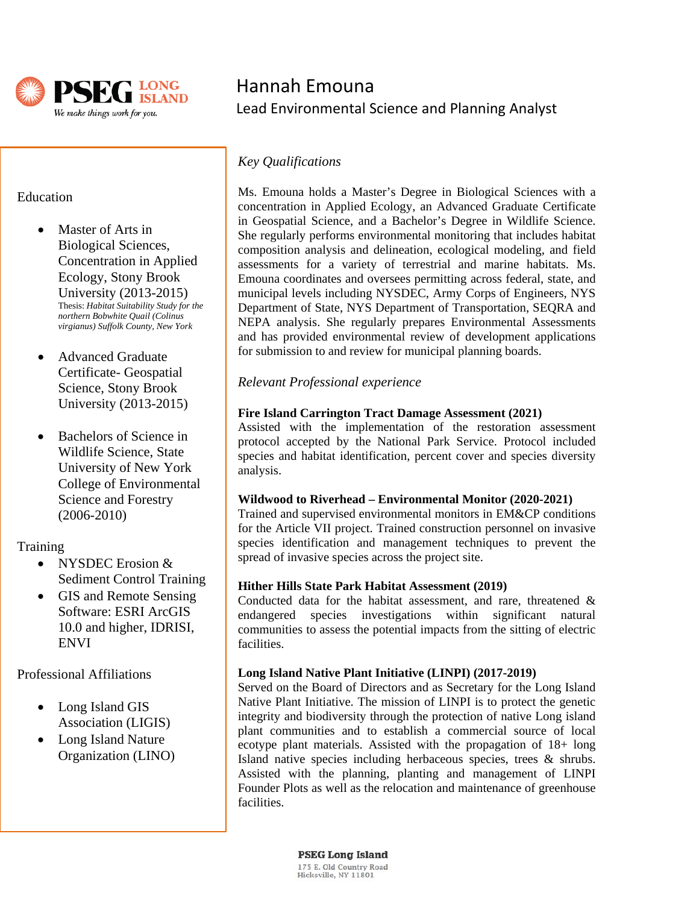

## Hannah Emouna Lead Environmental Science and Planning Analyst

## *Key Qualifications*

Ms. Emouna holds a Master's Degree in Biological Sciences with a concentration in Applied Ecology, an Advanced Graduate Certificate in Geospatial Science, and a Bachelor's Degree in Wildlife Science. She regularly performs environmental monitoring that includes habitat composition analysis and delineation, ecological modeling, and field assessments for a variety of terrestrial and marine habitats. Ms. Emouna coordinates and oversees permitting across federal, state, and municipal levels including NYSDEC, Army Corps of Engineers, NYS Department of State, NYS Department of Transportation, SEQRA and NEPA analysis. She regularly prepares Environmental Assessments and has provided environmental review of development applications for submission to and review for municipal planning boards.

## *Relevant Professional experience*

## **Fire Island Carrington Tract Damage Assessment (2021)**

Assisted with the implementation of the restoration assessment protocol accepted by the National Park Service. Protocol included species and habitat identification, percent cover and species diversity analysis.

## **Wildwood to Riverhead – Environmental Monitor (2020-2021)**

Trained and supervised environmental monitors in EM&CP conditions for the Article VII project. Trained construction personnel on invasive species identification and management techniques to prevent the spread of invasive species across the project site.

## **Hither Hills State Park Habitat Assessment (2019)**

Conducted data for the habitat assessment, and rare, threatened & endangered species investigations within significant natural communities to assess the potential impacts from the sitting of electric facilities.

## **Long Island Native Plant Initiative (LINPI) (2017-2019)**

Served on the Board of Directors and as Secretary for the Long Island Native Plant Initiative. The mission of LINPI is to protect the genetic integrity and biodiversity through the protection of native Long island plant communities and to establish a commercial source of local ecotype plant materials. Assisted with the propagation of 18+ long Island native species including herbaceous species, trees & shrubs. Assisted with the planning, planting and management of LINPI Founder Plots as well as the relocation and maintenance of greenhouse facilities.

## Education

- Master of Arts in Biological Sciences, Concentration in Applied Ecology, Stony Brook University (2013-2015) Thesis: *Habitat Suitability Study for the northern Bobwhite Quail (Colinus virgianus) Suffolk County, New York*
- Advanced Graduate Certificate- Geospatial Science, Stony Brook University (2013-2015)
- Bachelors of Science in Wildlife Science, State University of New York College of Environmental Science and Forestry (2006-2010)

## **Training**

- NYSDEC Erosion & Sediment Control Training
- GIS and Remote Sensing Software: ESRI ArcGIS 10.0 and higher, IDRISI, ENVI

Professional Affiliations

- Long Island GIS Association (LIGIS)
- Long Island Nature Organization (LINO)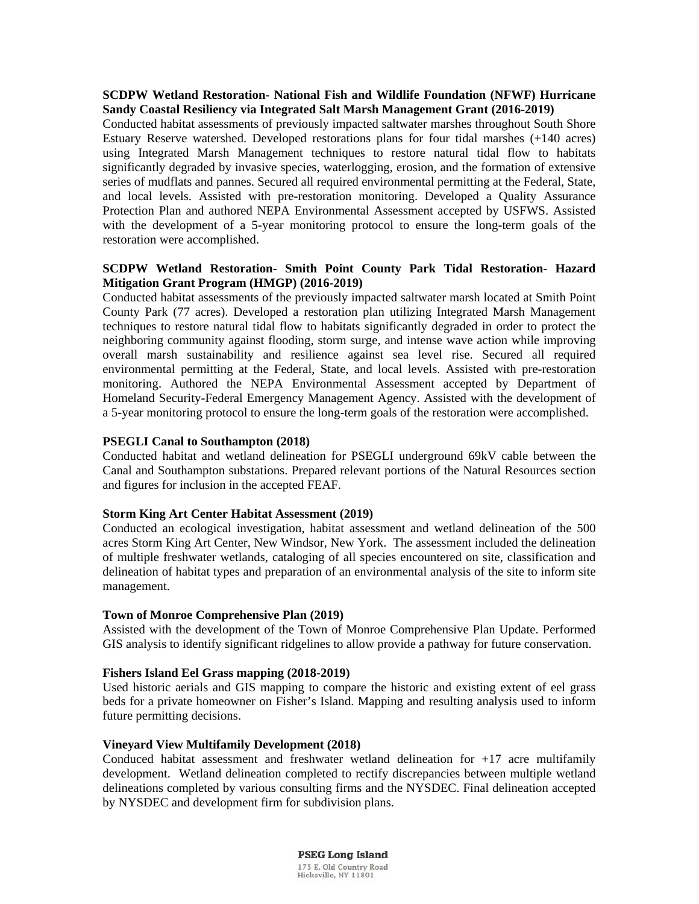#### **SCDPW Wetland Restoration- National Fish and Wildlife Foundation (NFWF) Hurricane Sandy Coastal Resiliency via Integrated Salt Marsh Management Grant (2016-2019)**

Conducted habitat assessments of previously impacted saltwater marshes throughout South Shore Estuary Reserve watershed. Developed restorations plans for four tidal marshes (+140 acres) using Integrated Marsh Management techniques to restore natural tidal flow to habitats significantly degraded by invasive species, waterlogging, erosion, and the formation of extensive series of mudflats and pannes. Secured all required environmental permitting at the Federal, State, and local levels. Assisted with pre-restoration monitoring. Developed a Quality Assurance Protection Plan and authored NEPA Environmental Assessment accepted by USFWS. Assisted with the development of a 5-year monitoring protocol to ensure the long-term goals of the restoration were accomplished.

#### **SCDPW Wetland Restoration- Smith Point County Park Tidal Restoration- Hazard Mitigation Grant Program (HMGP) (2016-2019)**

Conducted habitat assessments of the previously impacted saltwater marsh located at Smith Point County Park (77 acres). Developed a restoration plan utilizing Integrated Marsh Management techniques to restore natural tidal flow to habitats significantly degraded in order to protect the neighboring community against flooding, storm surge, and intense wave action while improving overall marsh sustainability and resilience against sea level rise. Secured all required environmental permitting at the Federal, State, and local levels. Assisted with pre-restoration monitoring. Authored the NEPA Environmental Assessment accepted by Department of Homeland Security-Federal Emergency Management Agency. Assisted with the development of a 5-year monitoring protocol to ensure the long-term goals of the restoration were accomplished.

#### **PSEGLI Canal to Southampton (2018)**

Conducted habitat and wetland delineation for PSEGLI underground 69kV cable between the Canal and Southampton substations. Prepared relevant portions of the Natural Resources section and figures for inclusion in the accepted FEAF.

#### **Storm King Art Center Habitat Assessment (2019)**

Conducted an ecological investigation, habitat assessment and wetland delineation of the 500 acres Storm King Art Center, New Windsor, New York. The assessment included the delineation of multiple freshwater wetlands, cataloging of all species encountered on site, classification and delineation of habitat types and preparation of an environmental analysis of the site to inform site management.

#### **Town of Monroe Comprehensive Plan (2019)**

Assisted with the development of the Town of Monroe Comprehensive Plan Update. Performed GIS analysis to identify significant ridgelines to allow provide a pathway for future conservation.

#### **Fishers Island Eel Grass mapping (2018-2019)**

Used historic aerials and GIS mapping to compare the historic and existing extent of eel grass beds for a private homeowner on Fisher's Island. Mapping and resulting analysis used to inform future permitting decisions.

#### **Vineyard View Multifamily Development (2018)**

Conduced habitat assessment and freshwater wetland delineation for +17 acre multifamily development. Wetland delineation completed to rectify discrepancies between multiple wetland delineations completed by various consulting firms and the NYSDEC. Final delineation accepted by NYSDEC and development firm for subdivision plans.

> **PSEG Long Island** 175 E. Old Country Road Hicksville, NY 11801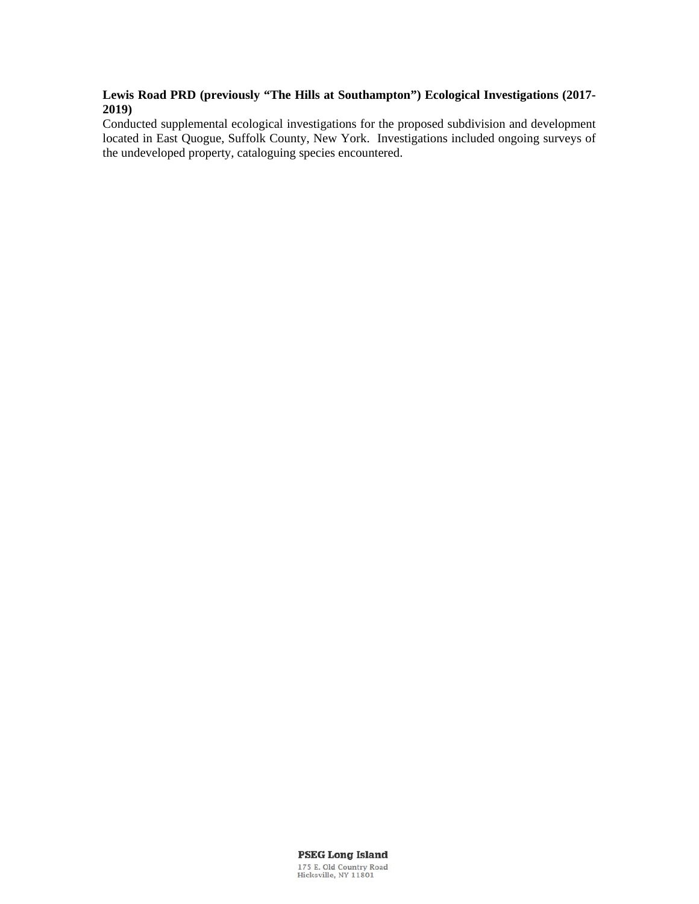## **Lewis Road PRD (previously "The Hills at Southampton") Ecological Investigations (2017- 2019)**

Conducted supplemental ecological investigations for the proposed subdivision and development located in East Quogue, Suffolk County, New York. Investigations included ongoing surveys of the undeveloped property, cataloguing species encountered.

#### **PSEG Long Island**

175 E. Old Country Road<br>Hicksville, NY 11801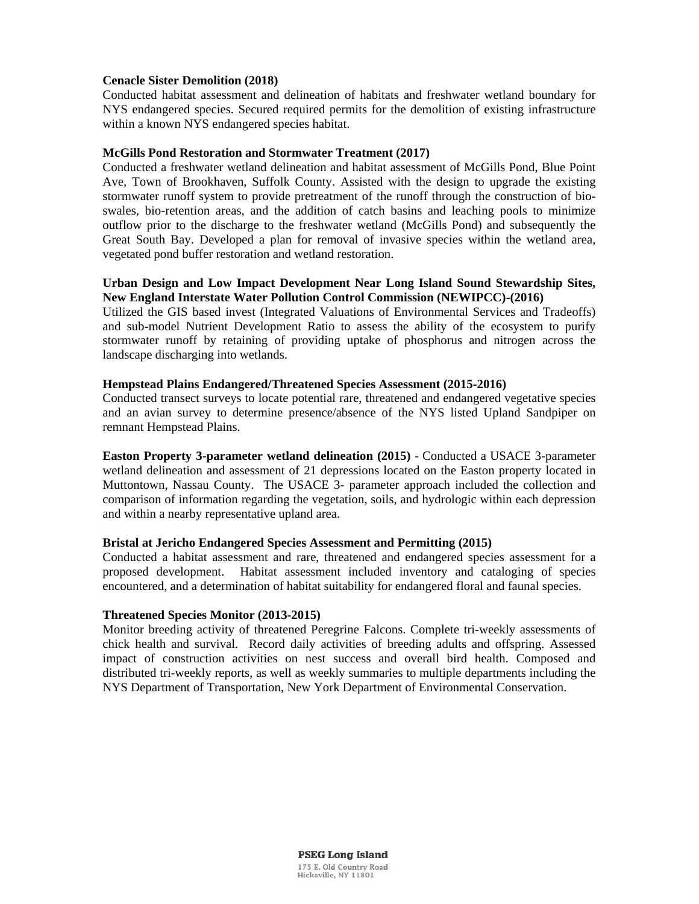#### **Cenacle Sister Demolition (2018)**

Conducted habitat assessment and delineation of habitats and freshwater wetland boundary for NYS endangered species. Secured required permits for the demolition of existing infrastructure within a known NYS endangered species habitat.

#### **McGills Pond Restoration and Stormwater Treatment (2017)**

Conducted a freshwater wetland delineation and habitat assessment of McGills Pond, Blue Point Ave, Town of Brookhaven, Suffolk County. Assisted with the design to upgrade the existing stormwater runoff system to provide pretreatment of the runoff through the construction of bioswales, bio-retention areas, and the addition of catch basins and leaching pools to minimize outflow prior to the discharge to the freshwater wetland (McGills Pond) and subsequently the Great South Bay. Developed a plan for removal of invasive species within the wetland area, vegetated pond buffer restoration and wetland restoration.

#### **Urban Design and Low Impact Development Near Long Island Sound Stewardship Sites, New England Interstate Water Pollution Control Commission (NEWIPCC)-(2016)**

Utilized the GIS based invest (Integrated Valuations of Environmental Services and Tradeoffs) and sub-model Nutrient Development Ratio to assess the ability of the ecosystem to purify stormwater runoff by retaining of providing uptake of phosphorus and nitrogen across the landscape discharging into wetlands.

#### **Hempstead Plains Endangered/Threatened Species Assessment (2015-2016)**

Conducted transect surveys to locate potential rare, threatened and endangered vegetative species and an avian survey to determine presence/absence of the NYS listed Upland Sandpiper on remnant Hempstead Plains.

**Easton Property 3-parameter wetland delineation (2015)** - Conducted a USACE 3-parameter wetland delineation and assessment of 21 depressions located on the Easton property located in Muttontown, Nassau County. The USACE 3- parameter approach included the collection and comparison of information regarding the vegetation, soils, and hydrologic within each depression and within a nearby representative upland area.

#### **Bristal at Jericho Endangered Species Assessment and Permitting (2015)**

Conducted a habitat assessment and rare, threatened and endangered species assessment for a proposed development. Habitat assessment included inventory and cataloging of species encountered, and a determination of habitat suitability for endangered floral and faunal species.

#### **Threatened Species Monitor (2013-2015)**

Monitor breeding activity of threatened Peregrine Falcons. Complete tri-weekly assessments of chick health and survival. Record daily activities of breeding adults and offspring. Assessed impact of construction activities on nest success and overall bird health. Composed and distributed tri-weekly reports, as well as weekly summaries to multiple departments including the NYS Department of Transportation, New York Department of Environmental Conservation.

> **PSEG Long Island** 175 E. Old Country Road Hicksville, NY 11801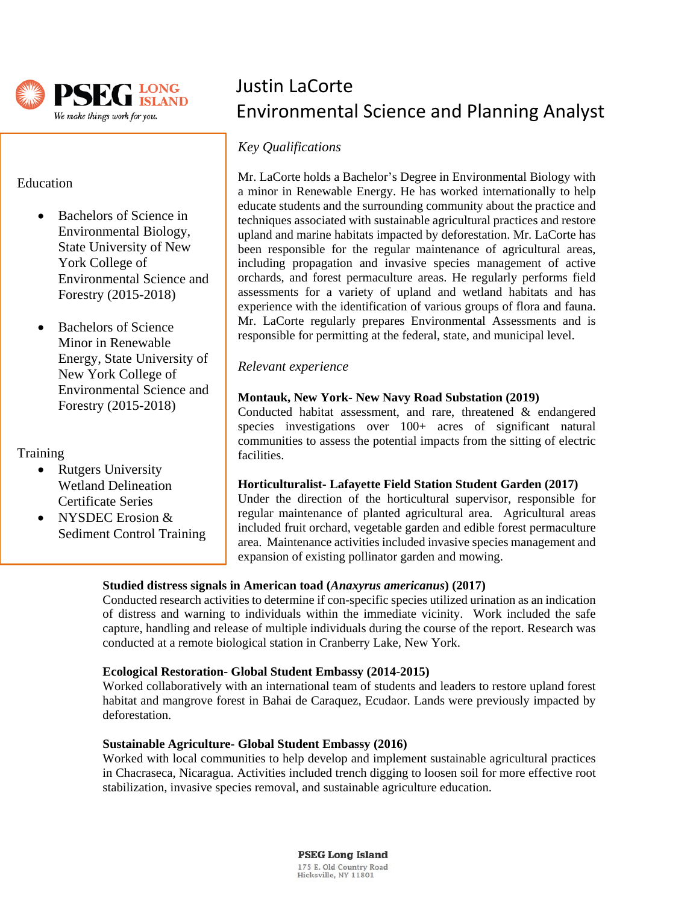

Education

- Bachelors of Science in Environmental Biology, State University of New York College of Environmental Science and Forestry (2015-2018)
- Bachelors of Science Minor in Renewable Energy, State University of New York College of Environmental Science and Forestry (2015-2018)

**Training** 

- **Rutgers University** Wetland Delineation Certificate Series
- NYSDEC Erosion & Sediment Control Training

# Justin LaCorte Environmental Science and Planning Analyst

*Key Qualifications* 

Mr. LaCorte holds a Bachelor's Degree in Environmental Biology with a minor in Renewable Energy. He has worked internationally to help educate students and the surrounding community about the practice and techniques associated with sustainable agricultural practices and restore upland and marine habitats impacted by deforestation. Mr. LaCorte has been responsible for the regular maintenance of agricultural areas, including propagation and invasive species management of active orchards, and forest permaculture areas. He regularly performs field assessments for a variety of upland and wetland habitats and has experience with the identification of various groups of flora and fauna. Mr. LaCorte regularly prepares Environmental Assessments and is responsible for permitting at the federal, state, and municipal level.

*Relevant experience*

## **Montauk, New York- New Navy Road Substation (2019)**

Conducted habitat assessment, and rare, threatened & endangered species investigations over 100+ acres of significant natural communities to assess the potential impacts from the sitting of electric facilities.

## **Horticulturalist- Lafayette Field Station Student Garden (2017)**

Under the direction of the horticultural supervisor, responsible for regular maintenance of planted agricultural area. Agricultural areas included fruit orchard, vegetable garden and edible forest permaculture area. Maintenance activities included invasive species management and expansion of existing pollinator garden and mowing.

## **Studied distress signals in American toad (***Anaxyrus americanus***) (2017)**

Conducted research activities to determine if con-specific species utilized urination as an indication of distress and warning to individuals within the immediate vicinity. Work included the safe capture, handling and release of multiple individuals during the course of the report. Research was conducted at a remote biological station in Cranberry Lake, New York.

## **Ecological Restoration- Global Student Embassy (2014-2015)**

Worked collaboratively with an international team of students and leaders to restore upland forest habitat and mangrove forest in Bahai de Caraquez, Ecudaor. Lands were previously impacted by deforestation.

## **Sustainable Agriculture- Global Student Embassy (2016)**

Worked with local communities to help develop and implement sustainable agricultural practices in Chacraseca, Nicaragua. Activities included trench digging to loosen soil for more effective root stabilization, invasive species removal, and sustainable agriculture education.

> **PSEG Long Island** 175 E. Old Country Road Hicksville, NY 11801